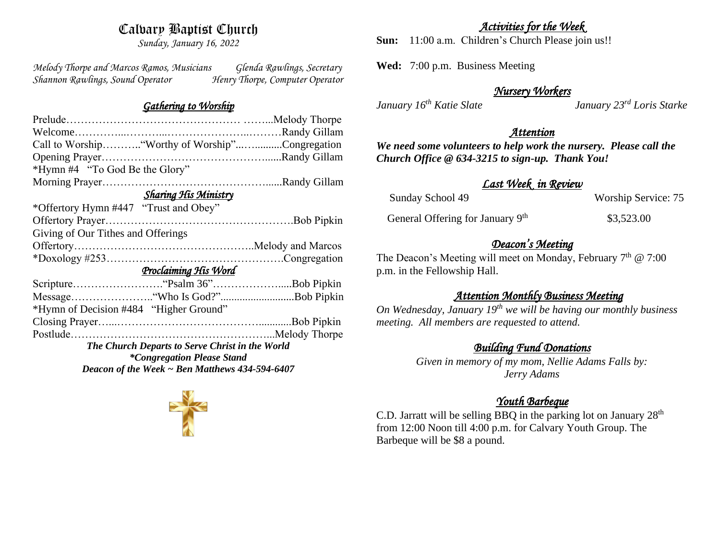# Calvary Baptist Church

*Sunday, January 16, 2022*

*Melody Thorpe and Marcos Ramos, Musicians Glenda Rawlings, Secretary Shannon Rawlings, Sound Operator Henry Thorpe, Computer Operator* 

#### *Gathering to Worship*

| Call to Worship"Worthy of Worship"Congregation      |  |  |  |
|-----------------------------------------------------|--|--|--|
|                                                     |  |  |  |
| *Hymn #4 "To God Be the Glory"                      |  |  |  |
|                                                     |  |  |  |
| <b>Sharing His Ministry</b>                         |  |  |  |
| *Offertory Hymn #447 "Trust and Obey"               |  |  |  |
|                                                     |  |  |  |
| Giving of Our Tithes and Offerings                  |  |  |  |
|                                                     |  |  |  |
|                                                     |  |  |  |
| Proclaiming His Word                                |  |  |  |
|                                                     |  |  |  |
|                                                     |  |  |  |
| *Hymn of Decision #484 "Higher Ground"              |  |  |  |
|                                                     |  |  |  |
|                                                     |  |  |  |
| The Church Departs to Serve Christ in the World     |  |  |  |
| <i>*Congregation Please Stand</i>                   |  |  |  |
| Deacon of the Week $\sim$ Ben Matthews 434-594-6407 |  |  |  |
|                                                     |  |  |  |

#### *Activities for the Week*

**Sun:** 11:00 a.m. Children's Church Please join us!!

**Wed:** 7:00 p.m. Business Meeting

### *Nursery Workers*

*January 16th Katie Slate January 23rd Loris Starke* 

### *Attention*

*We need some volunteers to help work the nursery. Please call the Church Office @ 634-3215 to sign-up. Thank You!*

## *Last Week in Review*

| Sunday School 49                             | Worship Service: 75 |
|----------------------------------------------|---------------------|
| General Offering for January 9 <sup>th</sup> | \$3,523.00          |

# *Deacon's Meeting*

The Deacon's Meeting will meet on Monday, February  $7<sup>th</sup>$  @ 7:00 p.m. in the Fellowship Hall.

## *Attention Monthly Business Meeting*

*On Wednesday, January 19th we will be having our monthly business meeting. All members are requested to attend.* 

## *Building Fund Donations*

*Given in memory of my mom, Nellie Adams Falls by: Jerry Adams*

# *Youth Barbeque*

C.D. Jarratt will be selling BBQ in the parking lot on January  $28<sup>th</sup>$ from 12:00 Noon till 4:00 p.m. for Calvary Youth Group. The Barbeque will be \$8 a pound.